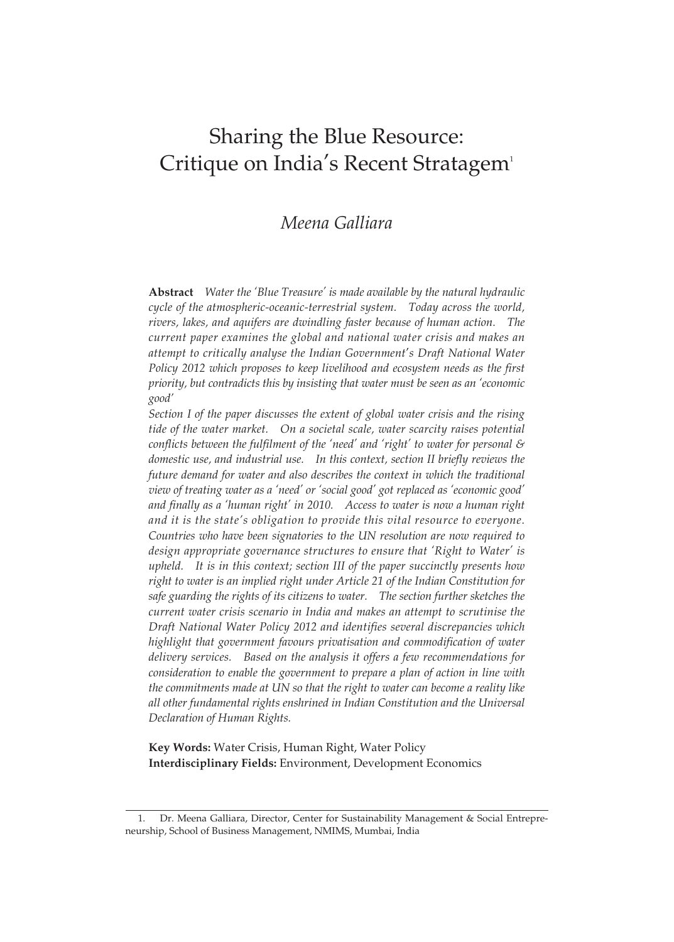# Sharing the Blue Resource: Critique on India's Recent Stratagem<sup>1</sup>

# *Meena Galliara*

**Abstract** *Water the 'Blue Treasure' is made available by the natural hydraulic cycle of the atmospheric-oceanic-terrestrial system. Today across the world, rivers, lakes, and aquifers are dwindling faster because of human action. The current paper examines the global and national water crisis and makes an attempt to critically analyse the Indian Government*'*s Draft National Water Policy 2012 which proposes to keep livelihood and ecosystem needs as the first priority, but contradicts this by insisting that water must be seen as an 'economic good'*

*Section I of the paper discusses the extent of global water crisis and the rising tide of the water market. On a societal scale, water scarcity raises potential conflicts between the fulfilment of the 'need' and 'right' to water for personal & domestic use, and industrial use. In this context, section II briefly reviews the future demand for water and also describes the context in which the traditional view of treating water as a 'need' or 'social good' got replaced as 'economic good' and finally as a 'human right' in 2010. Access to water is now a human right and it is the state's obligation to provide this vital resource to everyone. Countries who have been signatories to the UN resolution are now required to design appropriate governance structures to ensure that 'Right to Water' is upheld. It is in this context; section III of the paper succinctly presents how right to water is an implied right under Article 21 of the Indian Constitution for safe guarding the rights of its citizens to water. The section further sketches the current water crisis scenario in India and makes an attempt to scrutinise the Draft National Water Policy 2012 and identifies several discrepancies which highlight that government favours privatisation and commodification of water delivery services. Based on the analysis it offers a few recommendations for consideration to enable the government to prepare a plan of action in line with the commitments made at UN so that the right to water can become a reality like all other fundamental rights enshrined in Indian Constitution and the Universal Declaration of Human Rights.*

**Key Words:** Water Crisis, Human Right, Water Policy **Interdisciplinary Fields:** Environment, Development Economics

<sup>1.</sup> Dr. Meena Galliara, Director, Center for Sustainability Management & Social Entrepreneurship, School of Business Management, NMIMS, Mumbai, India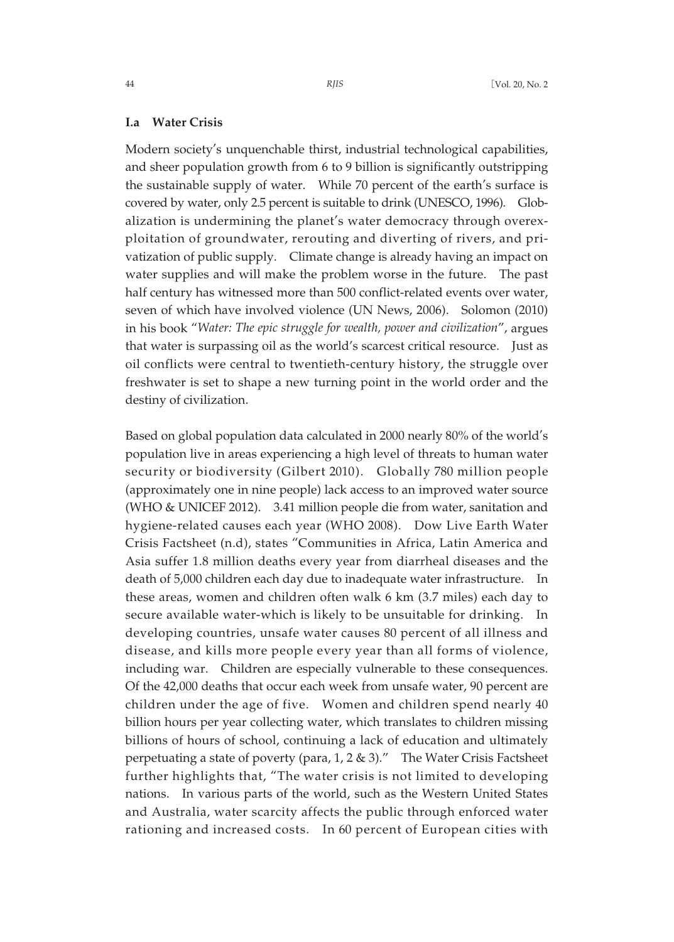#### **I.a Water Crisis**

Modern society's unquenchable thirst, industrial technological capabilities, and sheer population growth from 6 to 9 billion is significantly outstripping the sustainable supply of water. While 70 percent of the earth's surface is covered by water, only 2.5 percent is suitable to drink (UNESCO, 1996). Globalization is undermining the planet's water democracy through overexploitation of groundwater, rerouting and diverting of rivers, and privatization of public supply. Climate change is already having an impact on water supplies and will make the problem worse in the future. The past half century has witnessed more than 500 conflict-related events over water, seven of which have involved violence (UN News, 2006). Solomon (2010) in his book "*Water: The epic struggle for wealth, power and civilization*", argues that water is surpassing oil as the world's scarcest critical resource. Just as oil conflicts were central to twentieth-century history, the struggle over freshwater is set to shape a new turning point in the world order and the destiny of civilization.

Based on global population data calculated in 2000 nearly 80% of the world's population live in areas experiencing a high level of threats to human water security or biodiversity (Gilbert 2010). Globally 780 million people (approximately one in nine people) lack access to an improved water source (WHO & UNICEF 2012). 3.41 million people die from water, sanitation and hygiene-related causes each year (WHO 2008). Dow Live Earth Water Crisis Factsheet (n.d), states "Communities in Africa, Latin America and Asia suffer 1.8 million deaths every year from diarrheal diseases and the death of 5,000 children each day due to inadequate water infrastructure. In these areas, women and children often walk 6 km (3.7 miles) each day to secure available water-which is likely to be unsuitable for drinking. In developing countries, unsafe water causes 80 percent of all illness and disease, and kills more people every year than all forms of violence, including war. Children are especially vulnerable to these consequences. Of the 42,000 deaths that occur each week from unsafe water, 90 percent are children under the age of five. Women and children spend nearly 40 billion hours per year collecting water, which translates to children missing billions of hours of school, continuing a lack of education and ultimately perpetuating a state of poverty (para,  $1, 2 \& 3$ )." The Water Crisis Factsheet further highlights that, "The water crisis is not limited to developing nations. In various parts of the world, such as the Western United States and Australia, water scarcity affects the public through enforced water rationing and increased costs. In 60 percent of European cities with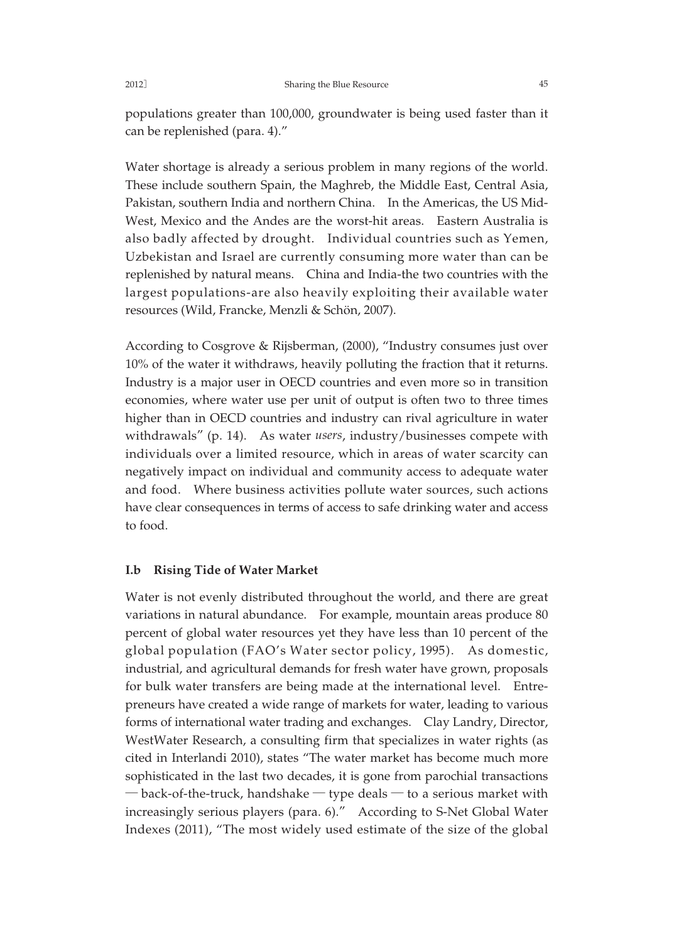populations greater than 100,000, groundwater is being used faster than it can be replenished (para. 4)."

Water shortage is already a serious problem in many regions of the world. These include southern Spain, the Maghreb, the Middle East, Central Asia, Pakistan, southern India and northern China. In the Americas, the US Mid-West, Mexico and the Andes are the worst-hit areas. Eastern Australia is also badly affected by drought. Individual countries such as Yemen, Uzbekistan and Israel are currently consuming more water than can be replenished by natural means. China and India-the two countries with the largest populations-are also heavily exploiting their available water resources (Wild, Francke, Menzli & Schön, 2007).

According to Cosgrove & Rijsberman, (2000), "Industry consumes just over 10% of the water it withdraws, heavily polluting the fraction that it returns. Industry is a major user in OECD countries and even more so in transition economies, where water use per unit of output is often two to three times higher than in OECD countries and industry can rival agriculture in water withdrawals" (p. 14). As water *users*, industry/businesses compete with individuals over a limited resource, which in areas of water scarcity can negatively impact on individual and community access to adequate water and food. Where business activities pollute water sources, such actions have clear consequences in terms of access to safe drinking water and access to food.

#### **I.b Rising Tide of Water Market**

Water is not evenly distributed throughout the world, and there are great variations in natural abundance. For example, mountain areas produce 80 percent of global water resources yet they have less than 10 percent of the global population (FAO's Water sector policy, 1995). As domestic, industrial, and agricultural demands for fresh water have grown, proposals for bulk water transfers are being made at the international level. Entrepreneurs have created a wide range of markets for water, leading to various forms of international water trading and exchanges. Clay Landry, Director, WestWater Research, a consulting firm that specializes in water rights (as cited in Interlandi 2010), states "The water market has become much more sophisticated in the last two decades, it is gone from parochial transactions  $-$  back-of-the-truck, handshake  $-$  type deals  $-$  to a serious market with increasingly serious players (para. 6)." According to S-Net Global Water Indexes (2011), "The most widely used estimate of the size of the global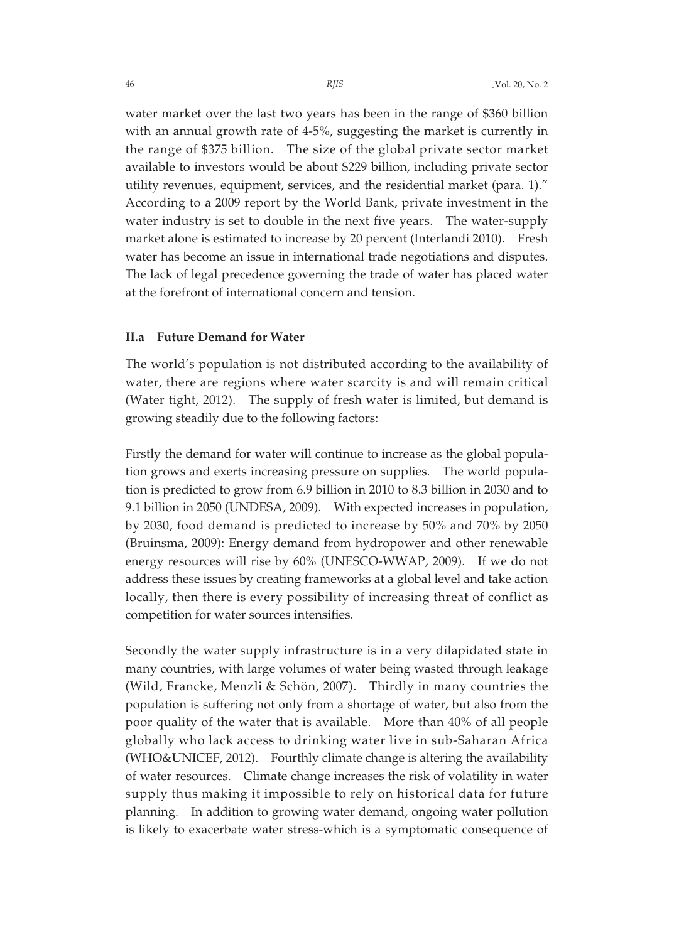water market over the last two years has been in the range of \$360 billion with an annual growth rate of 4-5%, suggesting the market is currently in the range of \$375 billion. The size of the global private sector market available to investors would be about \$229 billion, including private sector utility revenues, equipment, services, and the residential market (para. 1)." According to a 2009 report by the World Bank, private investment in the water industry is set to double in the next five years. The water-supply market alone is estimated to increase by 20 percent (Interlandi 2010). Fresh water has become an issue in international trade negotiations and disputes. The lack of legal precedence governing the trade of water has placed water at the forefront of international concern and tension.

## **II.a Future Demand for Water**

The world's population is not distributed according to the availability of water, there are regions where water scarcity is and will remain critical (Water tight, 2012). The supply of fresh water is limited, but demand is growing steadily due to the following factors:

Firstly the demand for water will continue to increase as the global population grows and exerts increasing pressure on supplies. The world population is predicted to grow from 6.9 billion in 2010 to 8.3 billion in 2030 and to 9.1 billion in 2050 (UNDESA, 2009). With expected increases in population, by 2030, food demand is predicted to increase by 50% and 70% by 2050 (Bruinsma, 2009): Energy demand from hydropower and other renewable energy resources will rise by 60% (UNESCO-WWAP, 2009). If we do not address these issues by creating frameworks at a global level and take action locally, then there is every possibility of increasing threat of conflict as competition for water sources intensifies.

Secondly the water supply infrastructure is in a very dilapidated state in many countries, with large volumes of water being wasted through leakage (Wild, Francke, Menzli & Schön, 2007). Thirdly in many countries the population is suffering not only from a shortage of water, but also from the poor quality of the water that is available. More than 40% of all people globally who lack access to drinking water live in sub-Saharan Africa (WHO&UNICEF, 2012). Fourthly climate change is altering the availability of water resources. Climate change increases the risk of volatility in water supply thus making it impossible to rely on historical data for future planning. In addition to growing water demand, ongoing water pollution is likely to exacerbate water stress-which is a symptomatic consequence of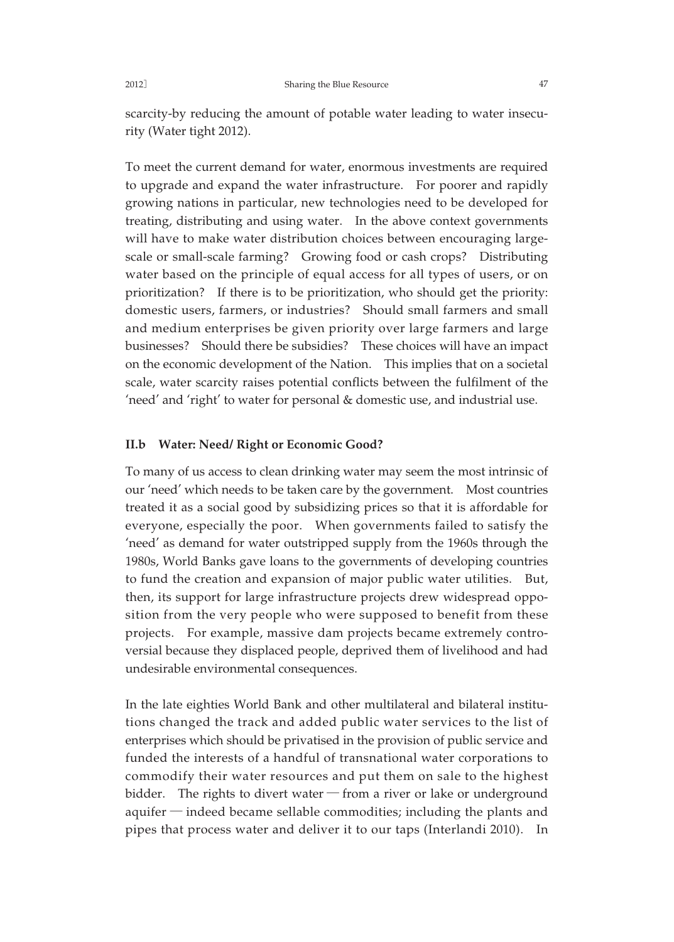scarcity-by reducing the amount of potable water leading to water insecurity (Water tight 2012).

To meet the current demand for water, enormous investments are required to upgrade and expand the water infrastructure. For poorer and rapidly growing nations in particular, new technologies need to be developed for treating, distributing and using water. In the above context governments will have to make water distribution choices between encouraging largescale or small-scale farming? Growing food or cash crops? Distributing water based on the principle of equal access for all types of users, or on prioritization? If there is to be prioritization, who should get the priority: domestic users, farmers, or industries? Should small farmers and small and medium enterprises be given priority over large farmers and large businesses? Should there be subsidies? These choices will have an impact on the economic development of the Nation. This implies that on a societal scale, water scarcity raises potential conflicts between the fulfilment of the 'need' and 'right' to water for personal & domestic use, and industrial use.

#### **II.b Water: Need/ Right or Economic Good?**

To many of us access to clean drinking water may seem the most intrinsic of our 'need' which needs to be taken care by the government. Most countries treated it as a social good by subsidizing prices so that it is affordable for everyone, especially the poor. When governments failed to satisfy the 'need' as demand for water outstripped supply from the 1960s through the 1980s, World Banks gave loans to the governments of developing countries to fund the creation and expansion of major public water utilities. But, then, its support for large infrastructure projects drew widespread opposition from the very people who were supposed to benefit from these projects. For example, massive dam projects became extremely controversial because they displaced people, deprived them of livelihood and had undesirable environmental consequences.

In the late eighties World Bank and other multilateral and bilateral institutions changed the track and added public water services to the list of enterprises which should be privatised in the provision of public service and funded the interests of a handful of transnational water corporations to commodify their water resources and put them on sale to the highest bidder. The rights to divert water  $-$  from a river or lake or underground aquifer ─ indeed became sellable commodities; including the plants and pipes that process water and deliver it to our taps (Interlandi 2010). In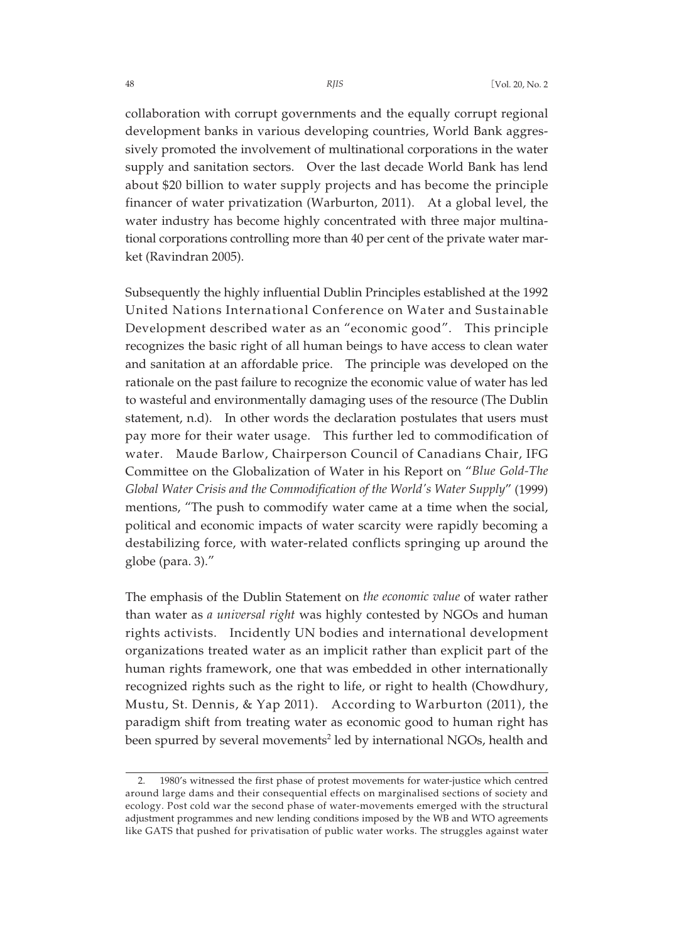collaboration with corrupt governments and the equally corrupt regional development banks in various developing countries, World Bank aggressively promoted the involvement of multinational corporations in the water supply and sanitation sectors. Over the last decade World Bank has lend about \$20 billion to water supply projects and has become the principle financer of water privatization (Warburton, 2011). At a global level, the water industry has become highly concentrated with three major multinational corporations controlling more than 40 per cent of the private water market (Ravindran 2005).

Subsequently the highly influential Dublin Principles established at the 1992 United Nations International Conference on Water and Sustainable Development described water as an "economic good". This principle recognizes the basic right of all human beings to have access to clean water and sanitation at an affordable price. The principle was developed on the rationale on the past failure to recognize the economic value of water has led to wasteful and environmentally damaging uses of the resource (The Dublin statement, n.d). In other words the declaration postulates that users must pay more for their water usage. This further led to commodification of water. Maude Barlow, Chairperson Council of Canadians Chair, IFG Committee on the Globalization of Water in his Report on "*Blue Gold-The Global Water Crisis and the Commodification of the World's Water Supply*" (1999) mentions, "The push to commodify water came at a time when the social, political and economic impacts of water scarcity were rapidly becoming a destabilizing force, with water-related conflicts springing up around the globe (para. 3)."

The emphasis of the Dublin Statement on *the economic value* of water rather than water as *a universal right* was highly contested by NGOs and human rights activists. Incidently UN bodies and international development organizations treated water as an implicit rather than explicit part of the human rights framework, one that was embedded in other internationally recognized rights such as the right to life, or right to health (Chowdhury, Mustu, St. Dennis, & Yap 2011). According to Warburton (2011), the paradigm shift from treating water as economic good to human right has been spurred by several movements<sup>2</sup> led by international NGOs, health and

<sup>2. 1980&#</sup>x27;s witnessed the first phase of protest movements for water-justice which centred around large dams and their consequential effects on marginalised sections of society and ecology. Post cold war the second phase of water-movements emerged with the structural adjustment programmes and new lending conditions imposed by the WB and WTO agreements like GATS that pushed for privatisation of public water works. The struggles against water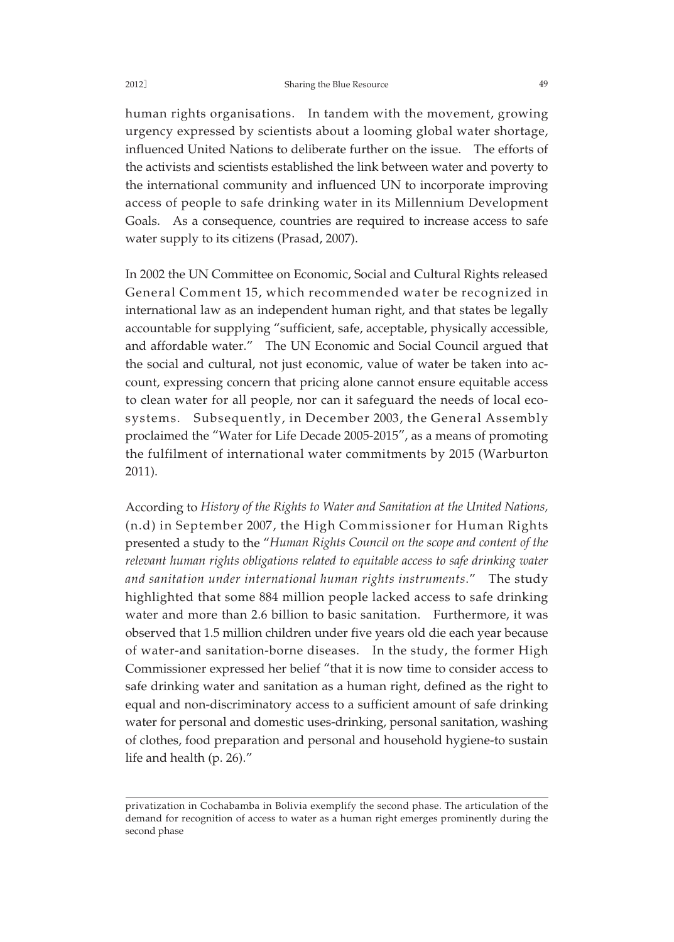human rights organisations. In tandem with the movement, growing urgency expressed by scientists about a looming global water shortage, influenced United Nations to deliberate further on the issue. The efforts of the activists and scientists established the link between water and poverty to the international community and influenced UN to incorporate improving access of people to safe drinking water in its Millennium Development Goals. As a consequence, countries are required to increase access to safe water supply to its citizens (Prasad, 2007).

In 2002 the UN Committee on Economic, Social and Cultural Rights released General Comment 15, which recommended water be recognized in international law as an independent human right, and that states be legally accountable for supplying "sufficient, safe, acceptable, physically accessible, and affordable water." The UN Economic and Social Council argued that the social and cultural, not just economic, value of water be taken into account, expressing concern that pricing alone cannot ensure equitable access to clean water for all people, nor can it safeguard the needs of local ecosystems. Subsequently, in December 2003, the General Assembly proclaimed the "Water for Life Decade 2005-2015", as a means of promoting the fulfilment of international water commitments by 2015 (Warburton 2011).

According to *History of the Rights to Water and Sanitation at the United Nations,* (n.d) in September 2007, the High Commissioner for Human Rights presented a study to the "*Human Rights Council on the scope and content of the relevant human rights obligations related to equitable access to safe drinking water and sanitation under international human rights instruments*." The study highlighted that some 884 million people lacked access to safe drinking water and more than 2.6 billion to basic sanitation. Furthermore, it was observed that 1.5 million children under five years old die each year because of water-and sanitation-borne diseases. In the study, the former High Commissioner expressed her belief "that it is now time to consider access to safe drinking water and sanitation as a human right, defined as the right to equal and non-discriminatory access to a sufficient amount of safe drinking water for personal and domestic uses-drinking, personal sanitation, washing of clothes, food preparation and personal and household hygiene-to sustain life and health (p. 26)."

privatization in Cochabamba in Bolivia exemplify the second phase. The articulation of the demand for recognition of access to water as a human right emerges prominently during the second phase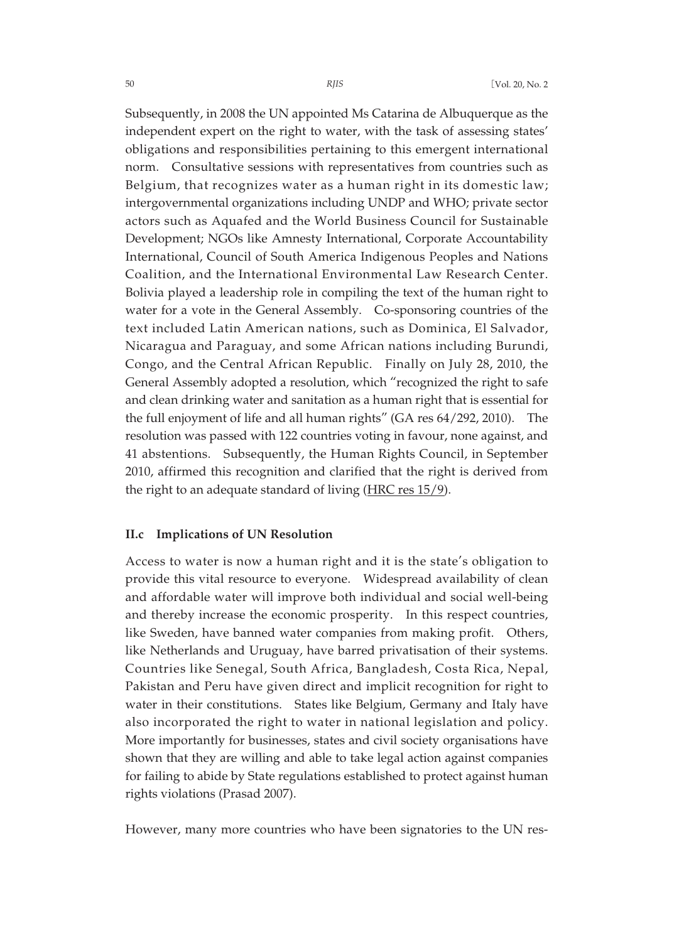Subsequently, in 2008 the UN appointed Ms Catarina de Albuquerque as the independent expert on the right to water, with the task of assessing states' obligations and responsibilities pertaining to this emergent international norm. Consultative sessions with representatives from countries such as Belgium, that recognizes water as a human right in its domestic law; intergovernmental organizations including UNDP and WHO; private sector actors such as Aquafed and the World Business Council for Sustainable Development; NGOs like Amnesty International, Corporate Accountability International, Council of South America Indigenous Peoples and Nations Coalition, and the International Environmental Law Research Center. Bolivia played a leadership role in compiling the text of the human right to water for a vote in the General Assembly. Co-sponsoring countries of the text included Latin American nations, such as Dominica, El Salvador, Nicaragua and Paraguay, and some African nations including Burundi, Congo, and the Central African Republic. Finally on July 28, 2010, the General Assembly adopted a resolution, which "recognized the right to safe and clean drinking water and sanitation as a human right that is essential for the full enjoyment of life and all human rights" (GA res 64/292, 2010). The resolution was passed with 122 countries voting in favour, none against, and 41 abstentions. Subsequently, the Human Rights Council, in September 2010, affirmed this recognition and clarified that the right is derived from the right to an adequate standard of living (HRC res 15/9).

#### **II.c Implications of UN Resolution**

Access to water is now a human right and it is the state's obligation to provide this vital resource to everyone. Widespread availability of clean and affordable water will improve both individual and social well-being and thereby increase the economic prosperity. In this respect countries, like Sweden, have banned water companies from making profit. Others, like Netherlands and Uruguay, have barred privatisation of their systems. Countries like Senegal, South Africa, Bangladesh, Costa Rica, Nepal, Pakistan and Peru have given direct and implicit recognition for right to water in their constitutions. States like Belgium, Germany and Italy have also incorporated the right to water in national legislation and policy. More importantly for businesses, states and civil society organisations have shown that they are willing and able to take legal action against companies for failing to abide by State regulations established to protect against human rights violations (Prasad 2007).

However, many more countries who have been signatories to the UN res-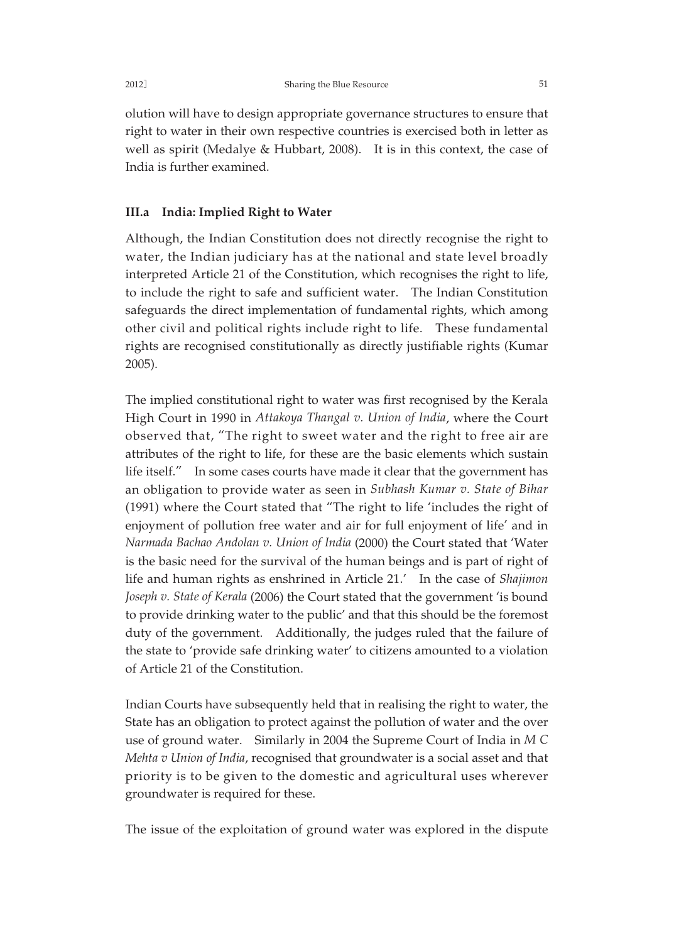olution will have to design appropriate governance structures to ensure that right to water in their own respective countries is exercised both in letter as well as spirit (Medalye & Hubbart, 2008). It is in this context, the case of India is further examined.

#### **III.a India: Implied Right to Water**

Although, the Indian Constitution does not directly recognise the right to water, the Indian judiciary has at the national and state level broadly interpreted Article 21 of the Constitution, which recognises the right to life, to include the right to safe and sufficient water. The Indian Constitution safeguards the direct implementation of fundamental rights, which among other civil and political rights include right to life. These fundamental rights are recognised constitutionally as directly justifiable rights (Kumar 2005).

The implied constitutional right to water was first recognised by the Kerala High Court in 1990 in *Attakoya Thangal v. Union of India*, where the Court observed that, "The right to sweet water and the right to free air are attributes of the right to life, for these are the basic elements which sustain life itself." In some cases courts have made it clear that the government has an obligation to provide water as seen in *Subhash Kumar v. State of Bihar* (1991) where the Court stated that "The right to life 'includes the right of enjoyment of pollution free water and air for full enjoyment of life' and in *Narmada Bachao Andolan v. Union of India* (2000) the Court stated that 'Water is the basic need for the survival of the human beings and is part of right of life and human rights as enshrined in Article 21.' In the case of *Shajimon Joseph v. State of Kerala* (2006) the Court stated that the government 'is bound to provide drinking water to the public' and that this should be the foremost duty of the government. Additionally, the judges ruled that the failure of the state to 'provide safe drinking water' to citizens amounted to a violation of Article 21 of the Constitution.

Indian Courts have subsequently held that in realising the right to water, the State has an obligation to protect against the pollution of water and the over use of ground water. Similarly in 2004 the Supreme Court of India in *M C Mehta v Union of India*, recognised that groundwater is a social asset and that priority is to be given to the domestic and agricultural uses wherever groundwater is required for these.

The issue of the exploitation of ground water was explored in the dispute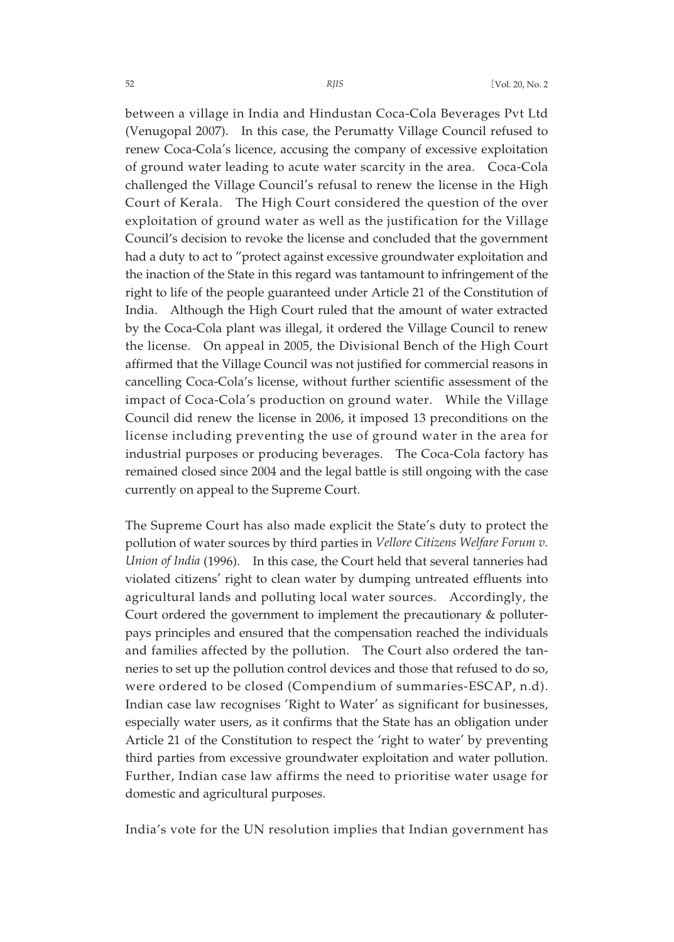between a village in India and Hindustan Coca-Cola Beverages Pvt Ltd (Venugopal 2007). In this case, the Perumatty Village Council refused to renew Coca-Cola's licence, accusing the company of excessive exploitation of ground water leading to acute water scarcity in the area. Coca-Cola challenged the Village Council's refusal to renew the license in the High Court of Kerala. The High Court considered the question of the over exploitation of ground water as well as the justification for the Village Council's decision to revoke the license and concluded that the government had a duty to act to "protect against excessive groundwater exploitation and the inaction of the State in this regard was tantamount to infringement of the right to life of the people guaranteed under Article 21 of the Constitution of India. Although the High Court ruled that the amount of water extracted by the Coca-Cola plant was illegal, it ordered the Village Council to renew the license. On appeal in 2005, the Divisional Bench of the High Court affirmed that the Village Council was not justified for commercial reasons in cancelling Coca-Cola's license, without further scientific assessment of the impact of Coca-Cola's production on ground water. While the Village Council did renew the license in 2006, it imposed 13 preconditions on the license including preventing the use of ground water in the area for industrial purposes or producing beverages. The Coca-Cola factory has remained closed since 2004 and the legal battle is still ongoing with the case currently on appeal to the Supreme Court.

The Supreme Court has also made explicit the State's duty to protect the pollution of water sources by third parties in *Vellore Citizens Welfare Forum v. Union of India* (1996). In this case, the Court held that several tanneries had violated citizens' right to clean water by dumping untreated effluents into agricultural lands and polluting local water sources. Accordingly, the Court ordered the government to implement the precautionary & polluterpays principles and ensured that the compensation reached the individuals and families affected by the pollution. The Court also ordered the tanneries to set up the pollution control devices and those that refused to do so, were ordered to be closed (Compendium of summaries-ESCAP, n.d). Indian case law recognises 'Right to Water' as significant for businesses, especially water users, as it confirms that the State has an obligation under Article 21 of the Constitution to respect the 'right to water' by preventing third parties from excessive groundwater exploitation and water pollution. Further, Indian case law affirms the need to prioritise water usage for domestic and agricultural purposes.

India's vote for the UN resolution implies that Indian government has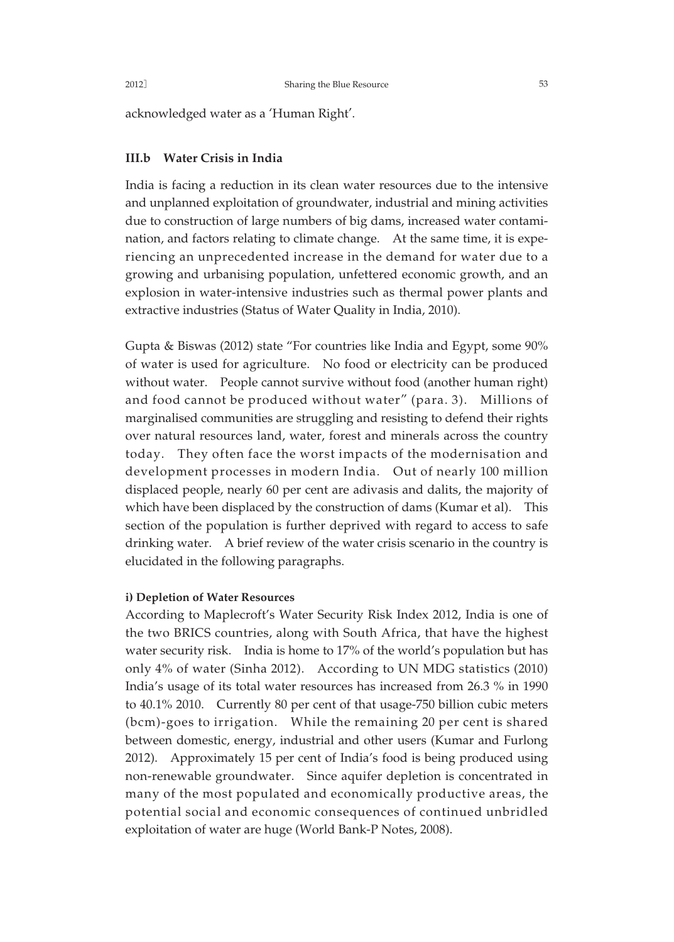acknowledged water as a 'Human Right'.

### **III.b Water Crisis in India**

India is facing a reduction in its clean water resources due to the intensive and unplanned exploitation of groundwater, industrial and mining activities due to construction of large numbers of big dams, increased water contamination, and factors relating to climate change. At the same time, it is experiencing an unprecedented increase in the demand for water due to a growing and urbanising population, unfettered economic growth, and an explosion in water-intensive industries such as thermal power plants and extractive industries (Status of Water Quality in India, 2010).

Gupta & Biswas (2012) state "For countries like India and Egypt, some 90% of water is used for agriculture. No food or electricity can be produced without water. People cannot survive without food (another human right) and food cannot be produced without water" (para. 3). Millions of marginalised communities are struggling and resisting to defend their rights over natural resources land, water, forest and minerals across the country today. They often face the worst impacts of the modernisation and development processes in modern India. Out of nearly 100 million displaced people, nearly 60 per cent are adivasis and dalits, the majority of which have been displaced by the construction of dams (Kumar et al). This section of the population is further deprived with regard to access to safe drinking water. A brief review of the water crisis scenario in the country is elucidated in the following paragraphs.

#### **i) Depletion of Water Resources**

According to Maplecroft's Water Security Risk Index 2012, India is one of the two BRICS countries, along with South Africa, that have the highest water security risk. India is home to 17% of the world's population but has only 4% of water (Sinha 2012). According to UN MDG statistics (2010) India's usage of its total water resources has increased from 26.3 % in 1990 to 40.1% 2010. Currently 80 per cent of that usage-750 billion cubic meters (bcm)-goes to irrigation. While the remaining 20 per cent is shared between domestic, energy, industrial and other users (Kumar and Furlong 2012). Approximately 15 per cent of India's food is being produced using non-renewable groundwater. Since aquifer depletion is concentrated in many of the most populated and economically productive areas, the potential social and economic consequences of continued unbridled exploitation of water are huge (World Bank-P Notes, 2008).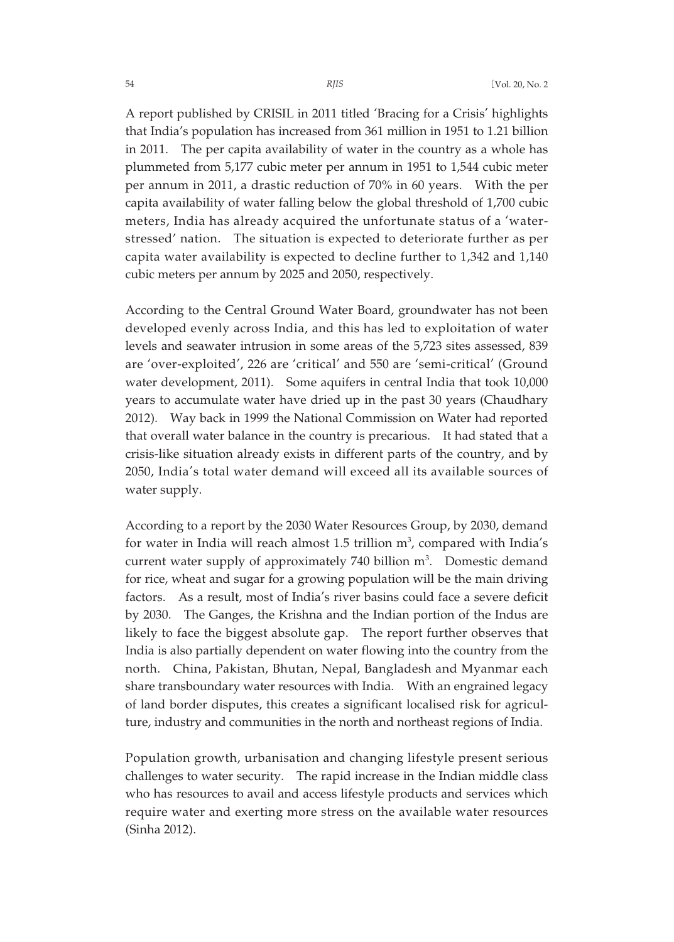A report published by CRISIL in 2011 titled 'Bracing for a Crisis' highlights that India's population has increased from 361 million in 1951 to 1.21 billion in 2011. The per capita availability of water in the country as a whole has plummeted from 5,177 cubic meter per annum in 1951 to 1,544 cubic meter per annum in 2011, a drastic reduction of 70% in 60 years. With the per capita availability of water falling below the global threshold of 1,700 cubic meters, India has already acquired the unfortunate status of a 'waterstressed' nation. The situation is expected to deteriorate further as per capita water availability is expected to decline further to 1,342 and 1,140 cubic meters per annum by 2025 and 2050, respectively.

According to the Central Ground Water Board, groundwater has not been developed evenly across India, and this has led to exploitation of water levels and seawater intrusion in some areas of the 5,723 sites assessed, 839 are 'over-exploited', 226 are 'critical' and 550 are 'semi-critical' (Ground water development, 2011). Some aquifers in central India that took 10,000 years to accumulate water have dried up in the past 30 years (Chaudhary 2012). Way back in 1999 the National Commission on Water had reported that overall water balance in the country is precarious. It had stated that a crisis-like situation already exists in different parts of the country, and by 2050, India's total water demand will exceed all its available sources of water supply.

According to a report by the 2030 Water Resources Group, by 2030, demand for water in India will reach almost 1.5 trillion  $m^3$ , compared with India's current water supply of approximately 740 billion  $m<sup>3</sup>$ . Domestic demand for rice, wheat and sugar for a growing population will be the main driving factors. As a result, most of India's river basins could face a severe deficit by 2030. The Ganges, the Krishna and the Indian portion of the Indus are likely to face the biggest absolute gap. The report further observes that India is also partially dependent on water flowing into the country from the north. China, Pakistan, Bhutan, Nepal, Bangladesh and Myanmar each share transboundary water resources with India. With an engrained legacy of land border disputes, this creates a significant localised risk for agriculture, industry and communities in the north and northeast regions of India.

Population growth, urbanisation and changing lifestyle present serious challenges to water security. The rapid increase in the Indian middle class who has resources to avail and access lifestyle products and services which require water and exerting more stress on the available water resources (Sinha 2012).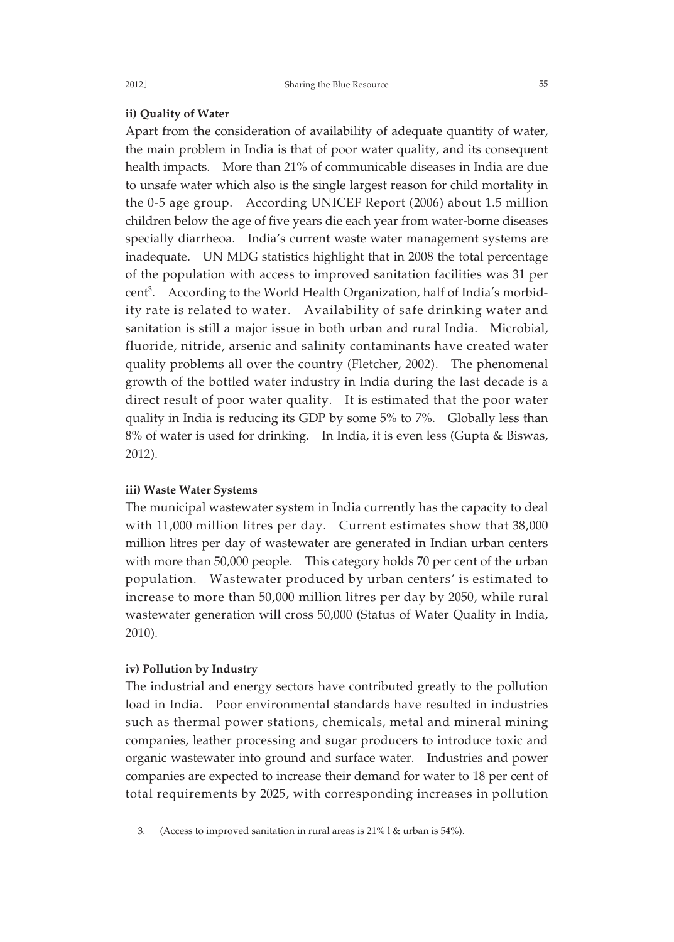#### **ii) Quality of Water**

Apart from the consideration of availability of adequate quantity of water, the main problem in India is that of poor water quality, and its consequent health impacts. More than 21% of communicable diseases in India are due to unsafe water which also is the single largest reason for child mortality in the 0-5 age group. According UNICEF Report (2006) about 1.5 million children below the age of five years die each year from water-borne diseases specially diarrheoa. India's current waste water management systems are inadequate. UN MDG statistics highlight that in 2008 the total percentage of the population with access to improved sanitation facilities was 31 per cent<sup>3</sup>. According to the World Health Organization, half of India's morbidity rate is related to water. Availability of safe drinking water and sanitation is still a major issue in both urban and rural India. Microbial, fluoride, nitride, arsenic and salinity contaminants have created water quality problems all over the country (Fletcher, 2002). The phenomenal growth of the bottled water industry in India during the last decade is a direct result of poor water quality. It is estimated that the poor water quality in India is reducing its GDP by some 5% to 7%. Globally less than 8% of water is used for drinking. In India, it is even less (Gupta & Biswas, 2012).

#### **iii) Waste Water Systems**

The municipal wastewater system in India currently has the capacity to deal with 11,000 million litres per day. Current estimates show that 38,000 million litres per day of wastewater are generated in Indian urban centers with more than 50,000 people. This category holds 70 per cent of the urban population. Wastewater produced by urban centers' is estimated to increase to more than 50,000 million litres per day by 2050, while rural wastewater generation will cross 50,000 (Status of Water Quality in India, 2010).

#### **iv) Pollution by Industry**

The industrial and energy sectors have contributed greatly to the pollution load in India. Poor environmental standards have resulted in industries such as thermal power stations, chemicals, metal and mineral mining companies, leather processing and sugar producers to introduce toxic and organic wastewater into ground and surface water. Industries and power companies are expected to increase their demand for water to 18 per cent of total requirements by 2025, with corresponding increases in pollution

<sup>3. (</sup>Access to improved sanitation in rural areas is 21% l & urban is 54%).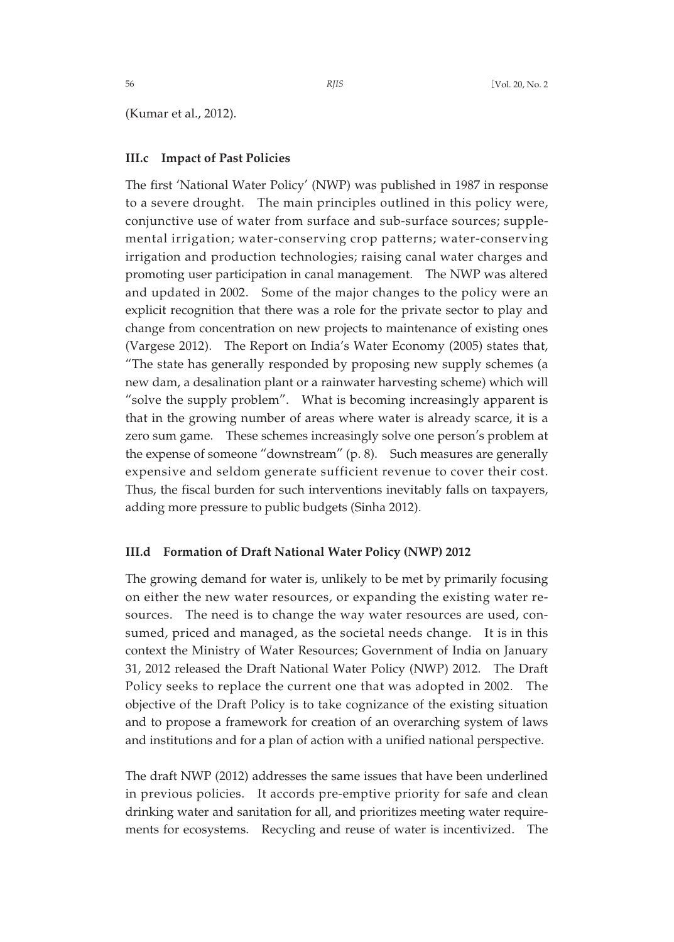(Kumar et al., 2012).

#### **III.c Impact of Past Policies**

The first 'National Water Policy' (NWP) was published in 1987 in response to a severe drought. The main principles outlined in this policy were, conjunctive use of water from surface and sub-surface sources; supplemental irrigation; water-conserving crop patterns; water-conserving irrigation and production technologies; raising canal water charges and promoting user participation in canal management. The NWP was altered and updated in 2002. Some of the major changes to the policy were an explicit recognition that there was a role for the private sector to play and change from concentration on new projects to maintenance of existing ones (Vargese 2012). The Report on India's Water Economy (2005) states that, "The state has generally responded by proposing new supply schemes (a new dam, a desalination plant or a rainwater harvesting scheme) which will "solve the supply problem". What is becoming increasingly apparent is that in the growing number of areas where water is already scarce, it is a zero sum game. These schemes increasingly solve one person's problem at the expense of someone "downstream" (p. 8). Such measures are generally expensive and seldom generate sufficient revenue to cover their cost. Thus, the fiscal burden for such interventions inevitably falls on taxpayers, adding more pressure to public budgets (Sinha 2012).

#### **III.d Formation of Draft National Water Policy (NWP) 2012**

The growing demand for water is, unlikely to be met by primarily focusing on either the new water resources, or expanding the existing water resources. The need is to change the way water resources are used, consumed, priced and managed, as the societal needs change. It is in this context the Ministry of Water Resources; Government of India on January 31, 2012 released the Draft National Water Policy (NWP) 2012. The Draft Policy seeks to replace the current one that was adopted in 2002. The objective of the Draft Policy is to take cognizance of the existing situation and to propose a framework for creation of an overarching system of laws and institutions and for a plan of action with a unified national perspective.

The draft NWP (2012) addresses the same issues that have been underlined in previous policies. It accords pre-emptive priority for safe and clean drinking water and sanitation for all, and prioritizes meeting water requirements for ecosystems. Recycling and reuse of water is incentivized. The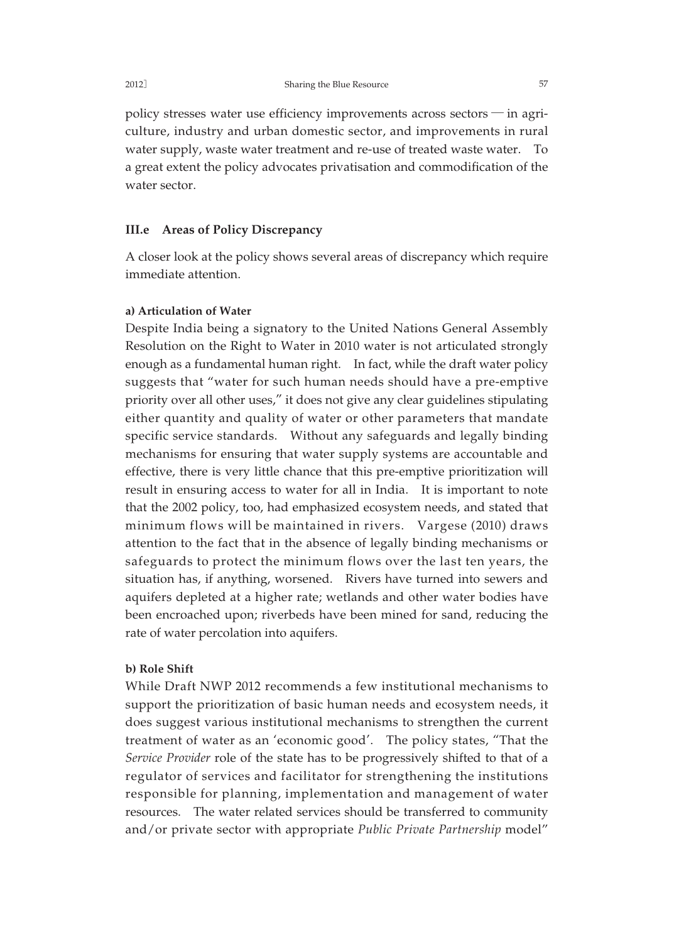policy stresses water use efficiency improvements across sectors ─ in agriculture, industry and urban domestic sector, and improvements in rural water supply, waste water treatment and re-use of treated waste water. To a great extent the policy advocates privatisation and commodification of the water sector.

### **III.e Areas of Policy Discrepancy**

A closer look at the policy shows several areas of discrepancy which require immediate attention.

#### **a) Articulation of Water**

Despite India being a signatory to the United Nations General Assembly Resolution on the Right to Water in 2010 water is not articulated strongly enough as a fundamental human right. In fact, while the draft water policy suggests that "water for such human needs should have a pre-emptive priority over all other uses," it does not give any clear guidelines stipulating either quantity and quality of water or other parameters that mandate specific service standards. Without any safeguards and legally binding mechanisms for ensuring that water supply systems are accountable and effective, there is very little chance that this pre-emptive prioritization will result in ensuring access to water for all in India. It is important to note that the 2002 policy, too, had emphasized ecosystem needs, and stated that minimum flows will be maintained in rivers. Vargese (2010) draws attention to the fact that in the absence of legally binding mechanisms or safeguards to protect the minimum flows over the last ten years, the situation has, if anything, worsened. Rivers have turned into sewers and aquifers depleted at a higher rate; wetlands and other water bodies have been encroached upon; riverbeds have been mined for sand, reducing the rate of water percolation into aquifers.

#### **b) Role Shift**

While Draft NWP 2012 recommends a few institutional mechanisms to support the prioritization of basic human needs and ecosystem needs, it does suggest various institutional mechanisms to strengthen the current treatment of water as an 'economic good'. The policy states, "That the *Service Provider* role of the state has to be progressively shifted to that of a regulator of services and facilitator for strengthening the institutions responsible for planning, implementation and management of water resources. The water related services should be transferred to community and/or private sector with appropriate *Public Private Partnership* model"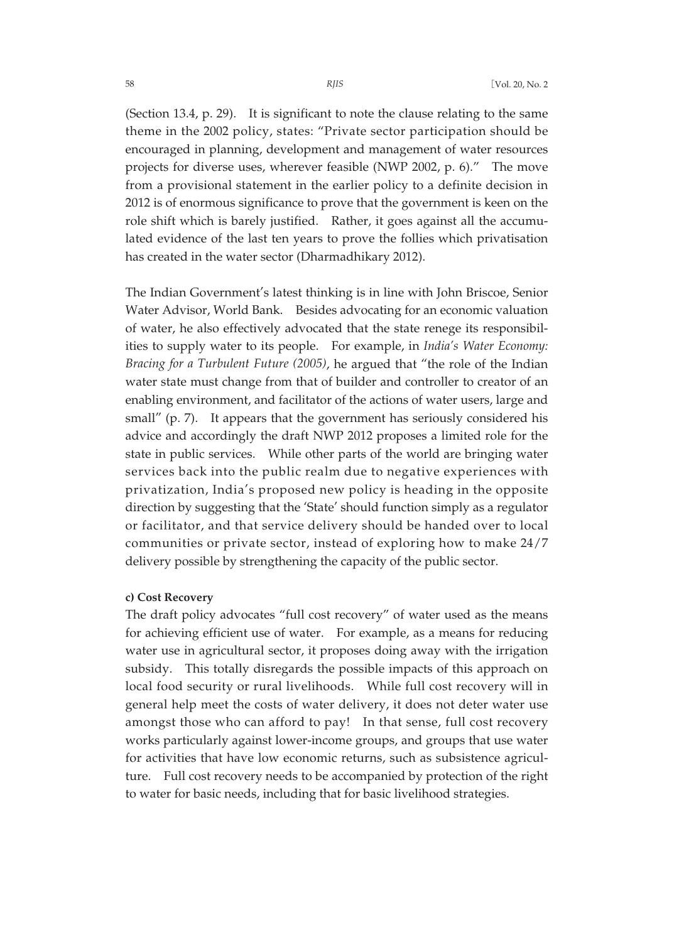(Section 13.4, p. 29). It is significant to note the clause relating to the same theme in the 2002 policy, states: "Private sector participation should be encouraged in planning, development and management of water resources projects for diverse uses, wherever feasible (NWP 2002, p. 6)." The move from a provisional statement in the earlier policy to a definite decision in 2012 is of enormous significance to prove that the government is keen on the role shift which is barely justified. Rather, it goes against all the accumulated evidence of the last ten years to prove the follies which privatisation has created in the water sector (Dharmadhikary 2012).

The Indian Government's latest thinking is in line with John Briscoe, Senior Water Advisor, World Bank. Besides advocating for an economic valuation of water, he also effectively advocated that the state renege its responsibilities to supply water to its people. For example, in *India's Water Economy: Bracing for a Turbulent Future (2005)*, he argued that "the role of the Indian water state must change from that of builder and controller to creator of an enabling environment, and facilitator of the actions of water users, large and small" (p. 7). It appears that the government has seriously considered his advice and accordingly the draft NWP 2012 proposes a limited role for the state in public services. While other parts of the world are bringing water services back into the public realm due to negative experiences with privatization, India's proposed new policy is heading in the opposite direction by suggesting that the 'State' should function simply as a regulator or facilitator, and that service delivery should be handed over to local communities or private sector, instead of exploring how to make 24/7 delivery possible by strengthening the capacity of the public sector.

#### **c) Cost Recovery**

The draft policy advocates "full cost recovery" of water used as the means for achieving efficient use of water. For example, as a means for reducing water use in agricultural sector, it proposes doing away with the irrigation subsidy. This totally disregards the possible impacts of this approach on local food security or rural livelihoods. While full cost recovery will in general help meet the costs of water delivery, it does not deter water use amongst those who can afford to pay! In that sense, full cost recovery works particularly against lower-income groups, and groups that use water for activities that have low economic returns, such as subsistence agriculture. Full cost recovery needs to be accompanied by protection of the right to water for basic needs, including that for basic livelihood strategies.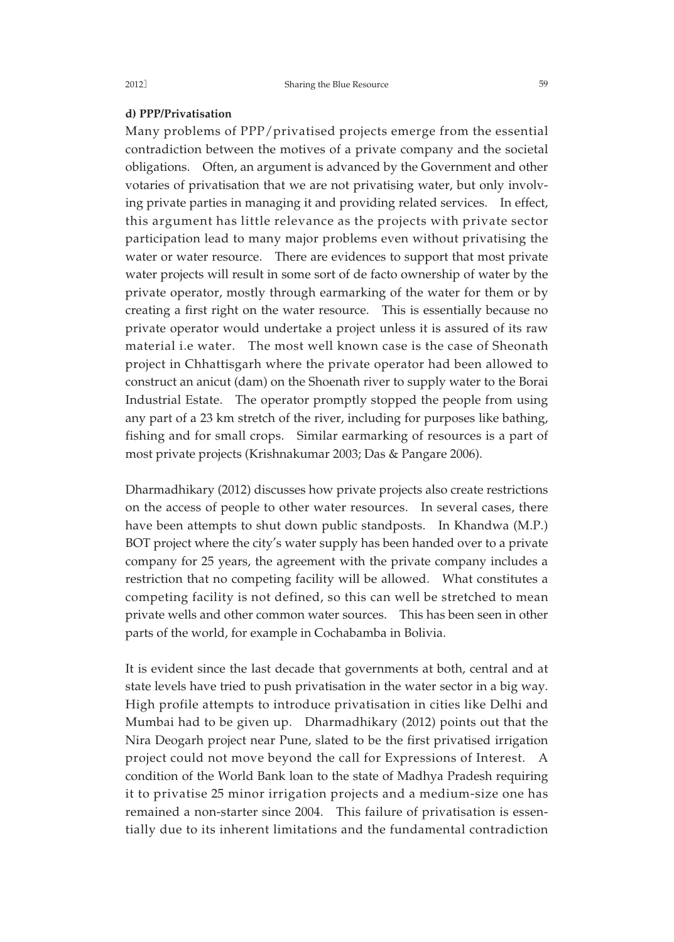#### **d) PPP/Privatisation**

Many problems of PPP/privatised projects emerge from the essential contradiction between the motives of a private company and the societal obligations. Often, an argument is advanced by the Government and other votaries of privatisation that we are not privatising water, but only involving private parties in managing it and providing related services. In effect, this argument has little relevance as the projects with private sector participation lead to many major problems even without privatising the water or water resource. There are evidences to support that most private water projects will result in some sort of de facto ownership of water by the private operator, mostly through earmarking of the water for them or by creating a first right on the water resource. This is essentially because no private operator would undertake a project unless it is assured of its raw material i.e water. The most well known case is the case of Sheonath project in Chhattisgarh where the private operator had been allowed to construct an anicut (dam) on the Shoenath river to supply water to the Borai Industrial Estate. The operator promptly stopped the people from using any part of a 23 km stretch of the river, including for purposes like bathing, fishing and for small crops. Similar earmarking of resources is a part of most private projects (Krishnakumar 2003; Das & Pangare 2006).

Dharmadhikary (2012) discusses how private projects also create restrictions on the access of people to other water resources. In several cases, there have been attempts to shut down public standposts. In Khandwa (M.P.) BOT project where the city's water supply has been handed over to a private company for 25 years, the agreement with the private company includes a restriction that no competing facility will be allowed. What constitutes a competing facility is not defined, so this can well be stretched to mean private wells and other common water sources. This has been seen in other parts of the world, for example in Cochabamba in Bolivia.

It is evident since the last decade that governments at both, central and at state levels have tried to push privatisation in the water sector in a big way. High profile attempts to introduce privatisation in cities like Delhi and Mumbai had to be given up. Dharmadhikary (2012) points out that the Nira Deogarh project near Pune, slated to be the first privatised irrigation project could not move beyond the call for Expressions of Interest. A condition of the World Bank loan to the state of Madhya Pradesh requiring it to privatise 25 minor irrigation projects and a medium-size one has remained a non-starter since 2004. This failure of privatisation is essentially due to its inherent limitations and the fundamental contradiction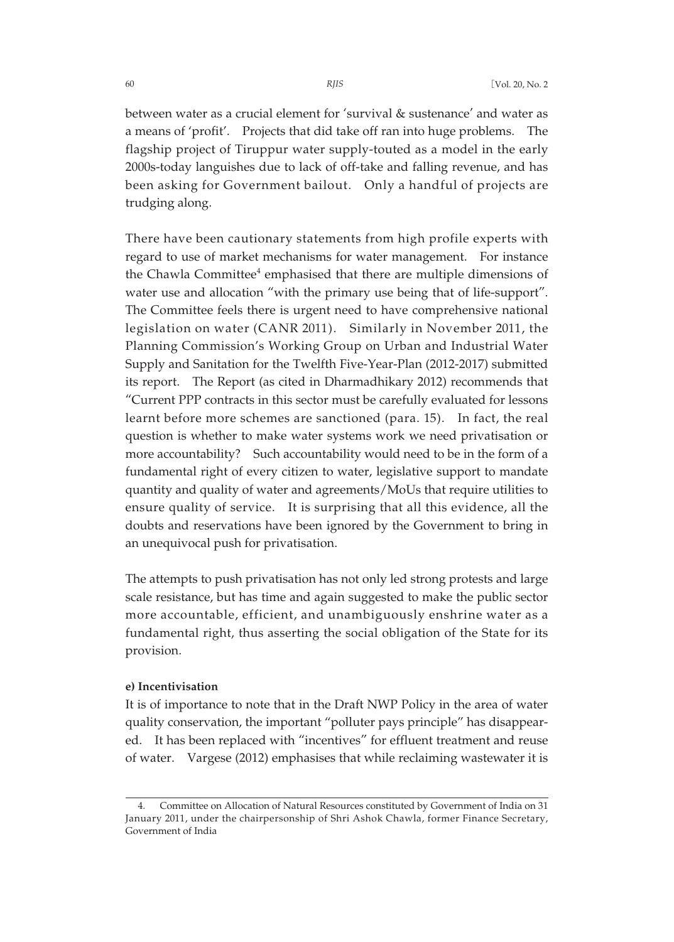between water as a crucial element for 'survival & sustenance' and water as a means of 'profit'. Projects that did take off ran into huge problems. The flagship project of Tiruppur water supply-touted as a model in the early 2000s-today languishes due to lack of off-take and falling revenue, and has been asking for Government bailout. Only a handful of projects are trudging along.

There have been cautionary statements from high profile experts with regard to use of market mechanisms for water management. For instance the Chawla Committee<sup>4</sup> emphasised that there are multiple dimensions of water use and allocation "with the primary use being that of life-support". The Committee feels there is urgent need to have comprehensive national legislation on water (CANR 2011). Similarly in November 2011, the Planning Commission's Working Group on Urban and Industrial Water Supply and Sanitation for the Twelfth Five-Year-Plan (2012-2017) submitted its report. The Report (as cited in Dharmadhikary 2012) recommends that "Current PPP contracts in this sector must be carefully evaluated for lessons learnt before more schemes are sanctioned (para. 15). In fact, the real question is whether to make water systems work we need privatisation or more accountability? Such accountability would need to be in the form of a fundamental right of every citizen to water, legislative support to mandate quantity and quality of water and agreements/MoUs that require utilities to ensure quality of service. It is surprising that all this evidence, all the doubts and reservations have been ignored by the Government to bring in an unequivocal push for privatisation.

The attempts to push privatisation has not only led strong protests and large scale resistance, but has time and again suggested to make the public sector more accountable, efficient, and unambiguously enshrine water as a fundamental right, thus asserting the social obligation of the State for its provision.

#### **e) Incentivisation**

It is of importance to note that in the Draft NWP Policy in the area of water quality conservation, the important "polluter pays principle" has disappeared. It has been replaced with "incentives" for effluent treatment and reuse of water. Vargese (2012) emphasises that while reclaiming wastewater it is

<sup>4.</sup> Committee on Allocation of Natural Resources constituted by Government of India on 31 January 2011, under the chairpersonship of Shri Ashok Chawla, former Finance Secretary, Government of India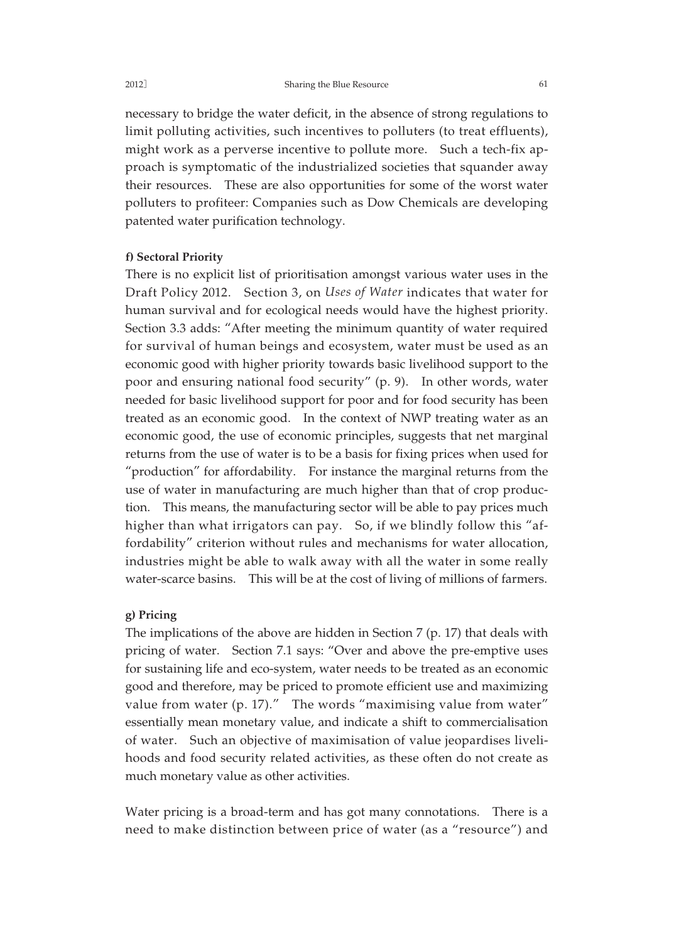neces sary to bridge the water deficit, in the absence of strong regulations to limit polluting activities, such incentives to polluters (to treat effluents), might work as a perverse incentive to pollute more. Such a tech-fix approach is symptomatic of the industrialized societies that squander away their resources. These are also opportunities for some of the worst water polluters to profiteer: Companies such as Dow Chemicals are developing patented water purification technology.

#### **f) Sectoral Priority**

There is no explicit list of prioritisation amongst various water uses in the Draft Policy 2012. Section 3, on *Uses of Water* indicates that water for human survival and for ecological needs would have the highest priority. Section 3.3 adds: "After meeting the minimum quantity of water required for survival of human beings and ecosystem, water must be used as an economic good with higher priority towards basic livelihood support to the poor and ensuring national food security" (p. 9). In other words, water needed for basic livelihood support for poor and for food security has been treated as an economic good. In the context of NWP treating water as an economic good, the use of economic principles, suggests that net marginal returns from the use of water is to be a basis for fixing prices when used for "production" for affordability. For instance the marginal returns from the use of water in manufacturing are much higher than that of crop production. This means, the manufacturing sector will be able to pay prices much higher than what irrigators can pay. So, if we blindly follow this "affordability" criterion without rules and mechanisms for water allocation, industries might be able to walk away with all the water in some really water-scarce basins. This will be at the cost of living of millions of farmers.

#### **g) Pricing**

The implications of the above are hidden in Section 7 (p. 17) that deals with pricing of water. Section 7.1 says: "Over and above the pre-emptive uses for sustaining life and eco-system, water needs to be treated as an economic good and therefore, may be priced to promote efficient use and maximizing value from water (p. 17)." The words "maximising value from water" essentially mean monetary value, and indicate a shift to commercialisation of water. Such an objective of maximisation of value jeopardises livelihoods and food security related activities, as these often do not create as much monetary value as other activities.

Water pricing is a broad-term and has got many connotations. There is a need to make distinction between price of water (as a "resource") and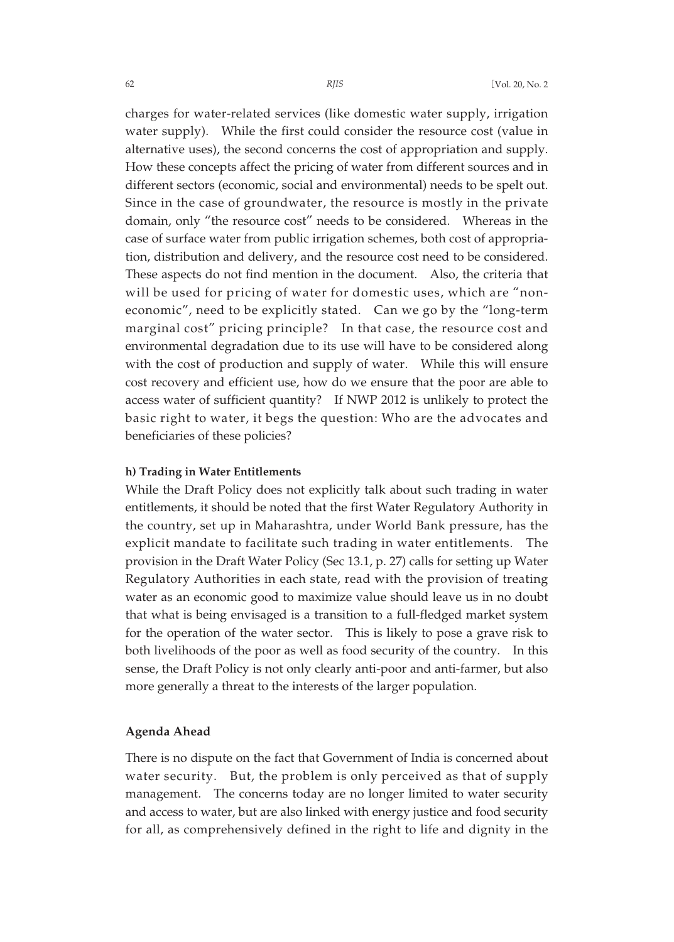charges for water-related services (like domestic water supply, irrigation water supply). While the first could consider the resource cost (value in alternative uses), the second concerns the cost of appropriation and supply. How these concepts affect the pricing of water from different sources and in different sectors (economic, social and environmental) needs to be spelt out. Since in the case of groundwater, the resource is mostly in the private domain, only "the resource cost" needs to be considered. Whereas in the case of surface water from public irrigation schemes, both cost of appropriation, distribution and delivery, and the resource cost need to be considered. These aspects do not find mention in the document. Also, the criteria that will be used for pricing of water for domestic uses, which are "noneconomic", need to be explicitly stated. Can we go by the "long-term marginal cost" pricing principle? In that case, the resource cost and environmental degradation due to its use will have to be considered along with the cost of production and supply of water. While this will ensure cost recovery and efficient use, how do we ensure that the poor are able to access water of sufficient quantity? If NWP 2012 is unlikely to protect the basic right to water, it begs the question: Who are the advocates and beneficiaries of these policies?

#### **h) Trading in Water Entitlements**

While the Draft Policy does not explicitly talk about such trading in water entitlements, it should be noted that the first Water Regulatory Authority in the country, set up in Maharashtra, under World Bank pressure, has the explicit mandate to facilitate such trading in water entitlements. The provision in the Draft Water Policy (Sec 13.1, p. 27) calls for setting up Water Regulatory Authorities in each state, read with the provision of treating water as an economic good to maximize value should leave us in no doubt that what is being envisaged is a transition to a full-fledged market system for the operation of the water sector. This is likely to pose a grave risk to both livelihoods of the poor as well as food security of the country. In this sense, the Draft Policy is not only clearly anti-poor and anti-farmer, but also more generally a threat to the interests of the larger population.

#### **Agenda Ahead**

There is no dispute on the fact that Government of India is concerned about water security. But, the problem is only perceived as that of supply management. The concerns today are no longer limited to water security and access to water, but are also linked with energy justice and food security for all, as comprehensively defined in the right to life and dignity in the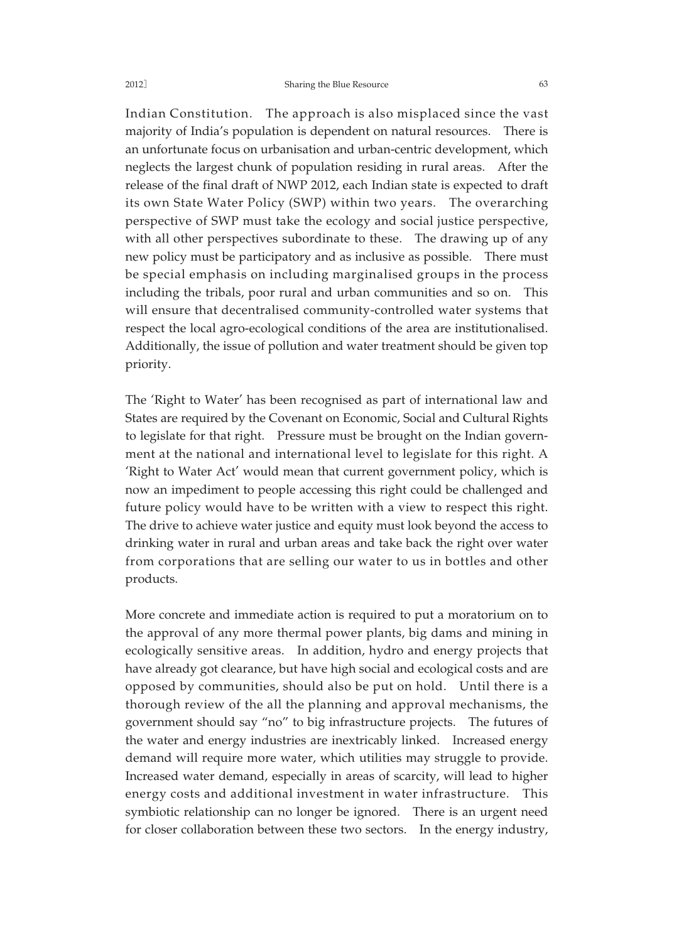#### 2012] Sharing the Blue Resource 63

Indian Constitution. The approach is also misplaced since the vast majority of India's population is dependent on natural resources. There is an unfortunate focus on urbanisation and urban-centric development, which neglects the largest chunk of population residing in rural areas. After the release of the final draft of NWP 2012, each Indian state is expected to draft its own State Water Policy (SWP) within two years. The overarching perspective of SWP must take the ecology and social justice perspective, with all other perspectives subordinate to these. The drawing up of any new policy must be participatory and as inclusive as possible. There must be special emphasis on including marginalised groups in the process including the tribals, poor rural and urban communities and so on. This will ensure that decentralised community-controlled water systems that respect the local agro-ecological conditions of the area are institutionalised. Additionally, the issue of pollution and water treatment should be given top priority.

The 'Right to Water' has been recognised as part of international law and States are required by the Covenant on Economic, Social and Cultural Rights to legislate for that right. Pressure must be brought on the Indian government at the national and international level to legislate for this right. A 'Right to Water Act' would mean that current government policy, which is now an impediment to people accessing this right could be challenged and future policy would have to be written with a view to respect this right. The drive to achieve water justice and equity must look beyond the access to drinking water in rural and urban areas and take back the right over water from corporations that are selling our water to us in bottles and other products.

More concrete and immediate action is required to put a moratorium on to the approval of any more thermal power plants, big dams and mining in ecologically sensitive areas. In addition, hydro and energy projects that have already got clearance, but have high social and ecological costs and are opposed by communities, should also be put on hold. Until there is a thorough review of the all the planning and approval mechanisms, the government should say "no" to big infrastructure projects. The futures of the water and energy industries are inextricably linked. Increased energy demand will require more water, which utilities may struggle to provide. Increased water demand, especially in areas of scarcity, will lead to higher energy costs and additional investment in water infrastructure. This symbiotic relationship can no longer be ignored. There is an urgent need for closer collaboration between these two sectors. In the energy industry,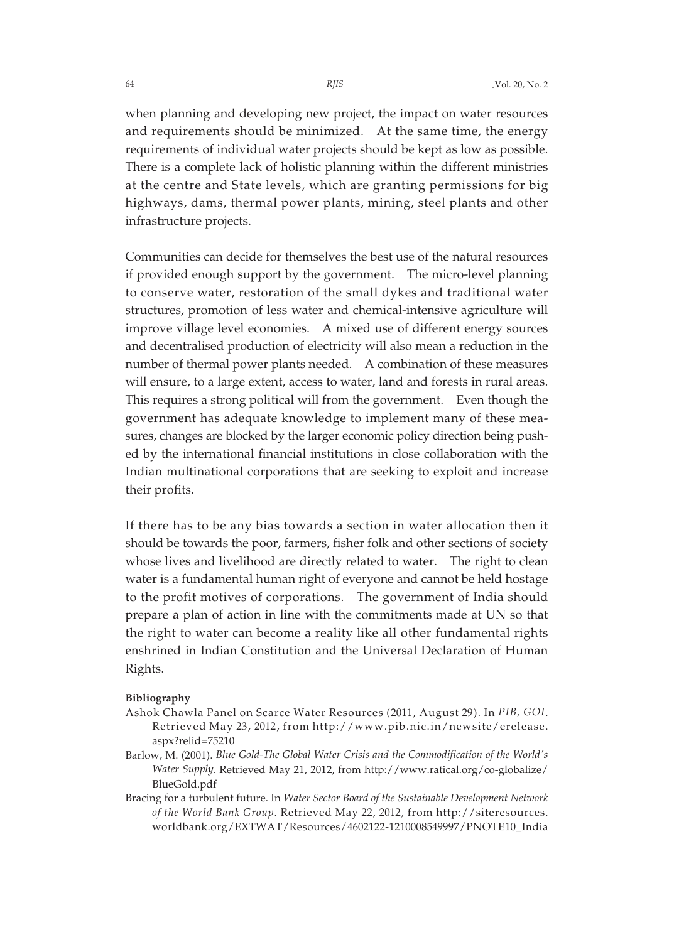when planning and developing new project, the impact on water resources and requirements should be minimized. At the same time, the energy requirements of individual water projects should be kept as low as possible. There is a complete lack of holistic planning within the different ministries at the centre and State levels, which are granting permissions for big highways, dams, thermal power plants, mining, steel plants and other infrastructure projects.

Communities can decide for themselves the best use of the natural resources if provided enough support by the government. The micro-level planning to conserve water, restoration of the small dykes and traditional water structures, promotion of less water and chemical-intensive agriculture will improve village level economies. A mixed use of different energy sources and decentralised production of electricity will also mean a reduction in the number of thermal power plants needed. A combination of these measures will ensure, to a large extent, access to water, land and forests in rural areas. This requires a strong political will from the government. Even though the government has adequate knowledge to implement many of these measures, changes are blocked by the larger economic policy direction being pushed by the international financial institutions in close collaboration with the Indian multinational corporations that are seeking to exploit and increase their profits.

If there has to be any bias towards a section in water allocation then it should be towards the poor, farmers, fisher folk and other sections of society whose lives and livelihood are directly related to water. The right to clean water is a fundamental human right of everyone and cannot be held hostage to the profit motives of corporations. The government of India should prepare a plan of action in line with the commitments made at UN so that the right to water can become a reality like all other fundamental rights enshrined in Indian Constitution and the Universal Declaration of Human Rights.

#### **Bibliography**

- Ashok Chawla Panel on Scarce Water Resources (2011, August 29). In *PIB, GOI*. Retrieved May 23, 2012, from http://www.pib.nic.in/newsite/erelease. aspx?relid=75210
- Barlow, M. (2001). *Blue Gold-The Global Water Crisis and the Commodification of the World's Water Supply*. Retrieved May 21, 2012, from http://www.ratical.org/co-globalize/ BlueGold.pdf
- Bracing for a turbulent future. In *Water Sector Board of the Sustainable Development Network of the World Bank Group.* Retrieved May 22, 2012, from http://siteresources. worldbank.org/EXTWAT/Resources/4602122-1210008549997/PNOTE10\_India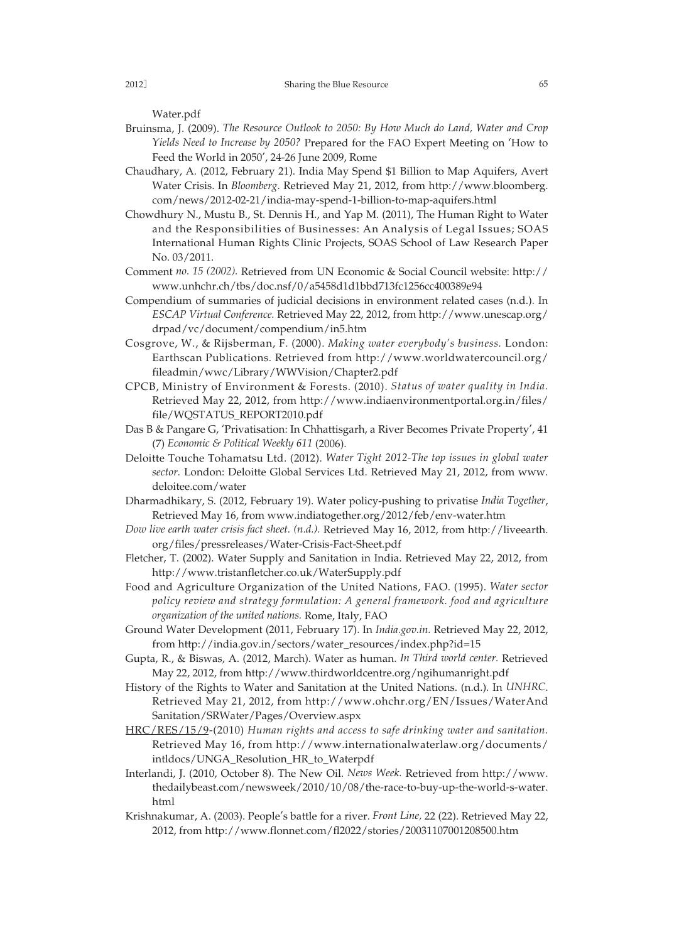Water.pdf

- Bruinsma, J. (2009). *The Resource Outlook to 2050: By How Much do Land, Water and Crop Yields Need to Increase by 2050?* Prepared for the FAO Expert Meeting on 'How to Feed the World in 2050', 24-26 June 2009, Rome
- Chaudhary, A. (2012, February 21). India May Spend \$1 Billion to Map Aquifers, Avert Water Crisis. In *Bloomberg*. Retrieved May 21, 2012, from http://www.bloomberg. com/news/2012-02-21/india-may-spend-1-billion-to-map-aquifers.html
- Chowdhury N., Mustu B., St. Dennis H., and Yap M. (2011), The Human Right to Water and the Responsibilities of Businesses: An Analysis of Legal Issues; SOAS International Human Rights Clinic Projects, SOAS School of Law Research Paper No. 03/2011.
- Comment *no. 15 (2002).* Retrieved from UN Economic & Social Council website: http:// www.unhchr.ch/tbs/doc.nsf/0/a5458d1d1bbd713fc1256cc400389e94
- Compendium of summaries of judicial decisions in environment related cases (n.d.). In *ESCAP Virtual Conference.* Retrieved May 22, 2012, from http://www.unescap.org/ drpad/vc/document/compendium/in5.htm
- Cosgrove, W., & Rijsberman, F. (2000). *Making water everybody's business.* London: Earthscan Publications. Retrieved from http://www.worldwatercouncil.org/ fileadmin/wwc/Library/WWVision/Chapter2.pdf
- CPCB, Ministry of Environment & Forests. (2010). *Status of water quality in India.* Retrieved May 22, 2012, from http://www.indiaenvironmentportal.org.in/files/ file/WQSTATUS\_REPORT2010.pdf
- Das B & Pangare G, 'Privatisation: In Chhattisgarh, a River Becomes Private Property', 41 (7) *Economic & Political Weekly 611* (2006).
- Deloitte Touche Tohamatsu Ltd. (2012). *Water Tight 2012-The top issues in global water sector.* London: Deloitte Global Services Ltd. Retrieved May 21, 2012, from www. deloitee.com/water
- Dharmadhikary, S. (2012, February 19). Water policy-pushing to privatise *India Together*, Retrieved May 16, from www.indiatogether.org/2012/feb/env-water.htm
- *Dow live earth water crisis fact sheet. (n.d.).* Retrieved May 16, 2012, from http://liveearth. org/files/pressreleases/Water-Crisis-Fact-Sheet.pdf
- Fletcher, T. (2002). Water Supply and Sanitation in India. Retrieved May 22, 2012, from http://www.tristanfletcher.co.uk/WaterSupply.pdf
- Food and Agriculture Organization of the United Nations, FAO. (1995). *Water sector policy review and strategy formulation: A general framework. food and agriculture organization of the united nations.* Rome, Italy, FAO
- Ground Water Development (2011, February 17). In *India.gov.in.* Retrieved May 22, 2012, from http://india.gov.in/sectors/water\_resources/index.php?id=15
- Gupta, R., & Biswas, A. (2012, March). Water as human. *In Third world center.* Retrieved May 22, 2012, from http://www.thirdworldcentre.org/ngihumanright.pdf
- History of the Rights to Water and Sanitation at the United Nations. (n.d.). In *UNHRC*. Retrieved May 21, 2012, from http://www.ohchr.org/EN/Issues/WaterAnd Sanitation/SRWater/Pages/Overview.aspx
- HRC/RES/15/9-(2010) *Human rights and access to safe drinking water and sanitation.* Retrieved May 16, from http://www.internationalwaterlaw.org/documents/ intldocs/UNGA\_Resolution\_HR\_to\_Waterpdf
- Interlandi, J. (2010, October 8). The New Oil. *News Week.* Retrieved from http://www. thedailybeast.com/newsweek/2010/10/08/the-race-to-buy-up-the-world-s-water. html
- Krishnakumar, A. (2003). People's battle for a river. *Front Line,* 22 (22). Retrieved May 22, 2012, from http://www.flonnet.com/fl2022/stories/20031107001208500.htm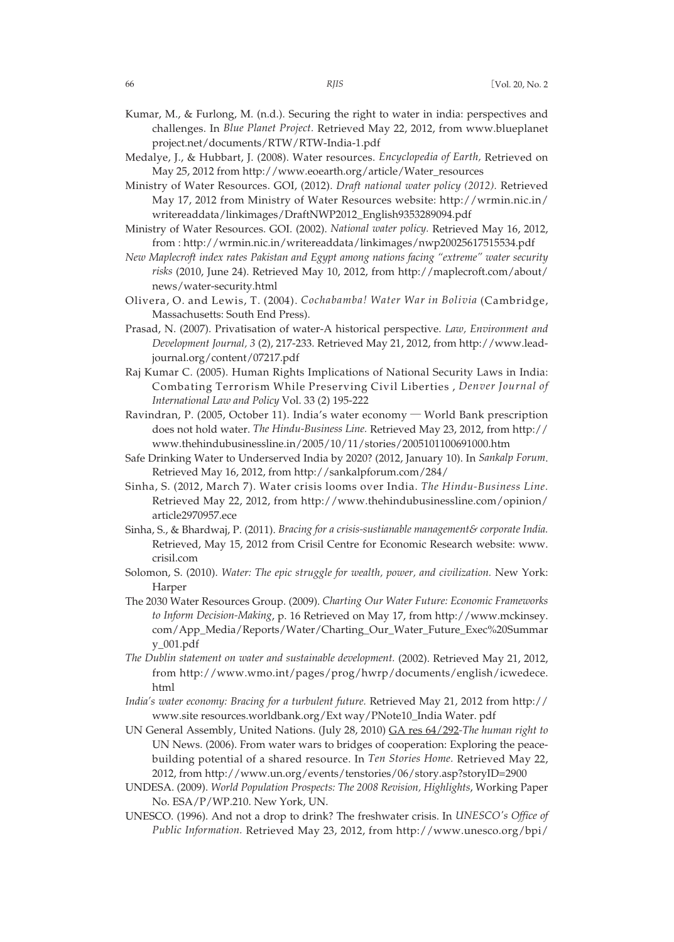- Kumar, M., & Furlong, M. (n.d.). Securing the right to water in india: perspectives and challenges. In *Blue Planet Project.* Retrieved May 22, 2012, from www.blueplanet project.net/documents/RTW/RTW-India-1.pdf
- Medalye, J., & Hubbart, J. (2008). Water resources. *Encyclopedia of Earth,* Retrieved on May 25, 2012 from http://www.eoearth.org/article/Water\_resources
- Ministry of Water Resources. GOI, (2012). *Draft national water policy (2012).* Retrieved May 17, 2012 from Ministry of Water Resources website: http://wrmin.nic.in/ writereaddata/linkimages/DraftNWP2012\_English9353289094.pdf
- Ministry of Water Resources. GOI. (2002). *National water policy.* Retrieved May 16, 2012, from : http://wrmin.nic.in/writereaddata/linkimages/nwp20025617515534.pdf
- *New Maplecroft index rates Pakistan and Egypt among nations facing "extreme" water security risks* (2010, June 24). Retrieved May 10, 2012, from http://maplecroft.com/about/ news/water-security.html
- Olivera, O. and Lewis, T. (2004). *Cochabamba! Water War in Bolivia* (Cambridge, Massachusetts: South End Press).
- Prasad, N. (2007). Privatisation of water-A historical perspective. *Law, Environment and Development Journal, 3* (2), 217-233. Retrieved May 21, 2012, from http://www.leadjournal.org/content/07217.pdf
- Raj Kumar C. (2005). Human Rights Implications of National Security Laws in India: Combating Terrorism While Preserving Civil Liberties , *Denver Journal of International Law and Policy* Vol. 33 (2) 195-222
- Ravindran, P. (2005, October 11). India's water economy ─ World Bank prescription does not hold water. *The Hindu-Business Line.* Retrieved May 23, 2012, from http:// www.thehindubusinessline.in/2005/10/11/stories/2005101100691000.htm
- Safe Drinking Water to Underserved India by 2020? (2012, January 10). In *Sankalp Forum*. Retrieved May 16, 2012, from http://sankalpforum.com/284/
- Sinha, S. (2012, March 7). Water crisis looms over India. *The Hindu-Business Line.* Retrieved May 22, 2012, from http://www.thehindubusinessline.com/opinion/ article2970957.ece
- Sinha, S., & Bhardwaj, P. (2011). *Bracing for a crisis-sustianable management& corporate India.* Retrieved, May 15, 2012 from Crisil Centre for Economic Research website: www. crisil.com
- Solomon, S. (2010). *Water: The epic struggle for wealth, power, and civilization.* New York: Harper
- The 2030 Water Resources Group. (2009). *Charting Our Water Future: Economic Frameworks to Inform Decision-Making*, p. 16 Retrieved on May 17, from http://www.mckinsey. com/App\_Media/Reports/Water/Charting\_Our\_Water\_Future\_Exec%20Summar y\_001.pdf
- *The Dublin statement on water and sustainable development.* (2002). Retrieved May 21, 2012, from http://www.wmo.int/pages/prog/hwrp/documents/english/icwedece. html
- *India's water economy: Bracing for a turbulent future.* Retrieved May 21, 2012 from http:// www.site resources.worldbank.org/Ext way/PNote10\_India Water. pdf
- UN General Assembly, United Nations. (July 28, 2010) GA res 64/292*-The human right to* UN News. (2006). From water wars to bridges of cooperation: Exploring the peacebuilding potential of a shared resource. In *Ten Stories Home.* Retrieved May 22, 2012, from http://www.un.org/events/tenstories/06/story.asp?storyID=2900
- UNDESA. (2009). *World Population Prospects: The 2008 Revision, Highlights*, Working Paper No. ESA/P/WP.210. New York, UN.
- UNESCO. (1996). And not a drop to drink? The freshwater crisis. In *UNESCO's Office of Public Information.* Retrieved May 23, 2012, from http://www.unesco.org/bpi/